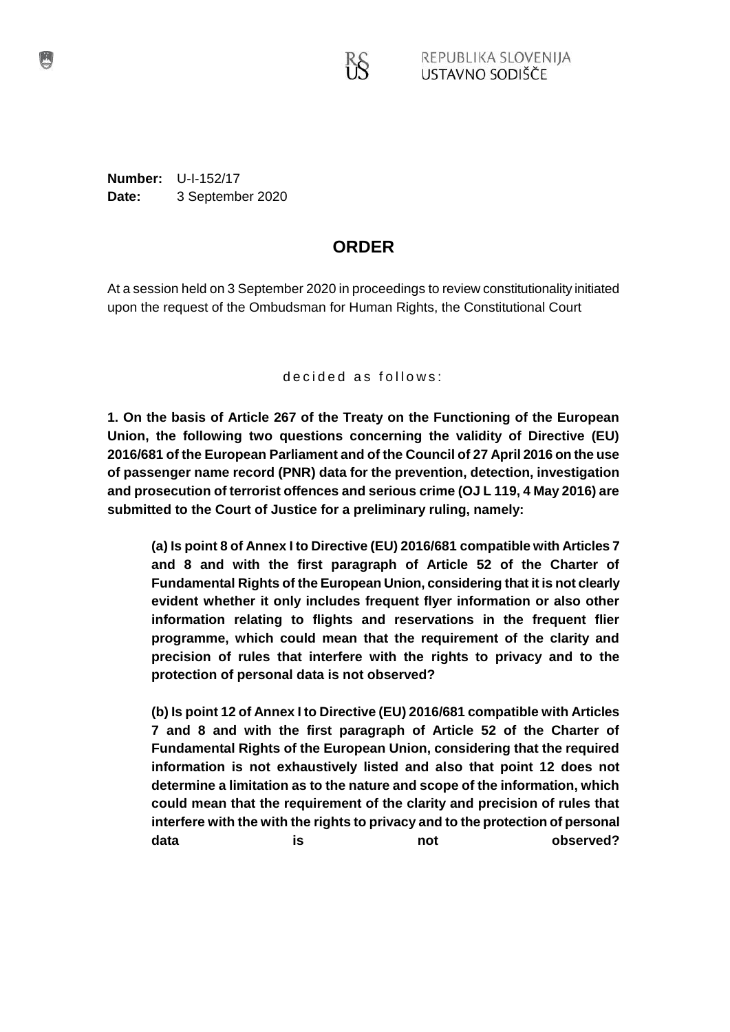**Number:** U-I-152/17 **Date:** 3 September 2020

# **ORDER**

At a session held on 3 September 2020 in proceedings to review constitutionality initiated upon the request of the Ombudsman for Human Rights, the Constitutional Court

de cided as follows:

**1. On the basis of Article 267 of the Treaty on the Functioning of the European Union, the following two questions concerning the validity of Directive (EU) 2016/681 of the European Parliament and of the Council of 27 April 2016 on the use of passenger name record (PNR) data for the prevention, detection, investigation and prosecution of terrorist offences and serious crime (OJ L 119, 4 May 2016) are submitted to the Court of Justice for a preliminary ruling, namely:**

**(a) Is point 8 of Annex I to Directive (EU) 2016/681 compatible with Articles 7 and 8 and with the first paragraph of Article 52 of the Charter of Fundamental Rights of the European Union, considering that it is not clearly evident whether it only includes frequent flyer information or also other information relating to flights and reservations in the frequent flier programme, which could mean that the requirement of the clarity and precision of rules that interfere with the rights to privacy and to the protection of personal data is not observed?**

**(b) Is point 12 of Annex I to Directive (EU) 2016/681 compatible with Articles 7 and 8 and with the first paragraph of Article 52 of the Charter of Fundamental Rights of the European Union, considering that the required information is not exhaustively listed and also that point 12 does not determine a limitation as to the nature and scope of the information, which could mean that the requirement of the clarity and precision of rules that interfere with the with the rights to privacy and to the protection of personal** data **is** is not **observed?**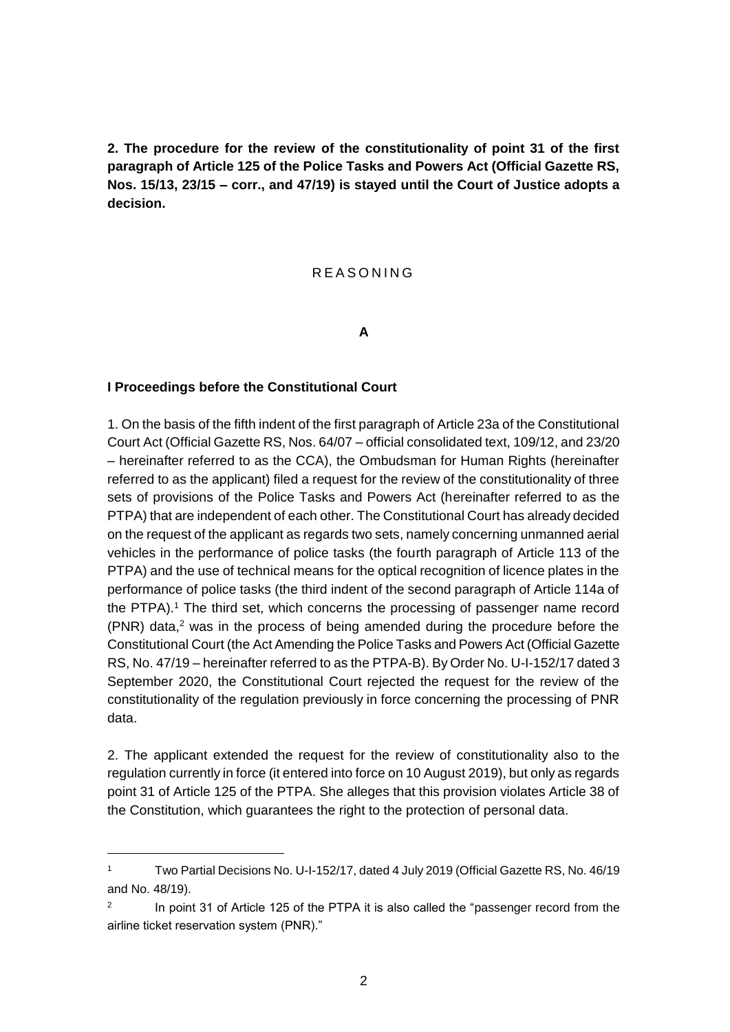**2. The procedure for the review of the constitutionality of point 31 of the first paragraph of Article 125 of the Police Tasks and Powers Act (Official Gazette RS, Nos. 15/13, 23/15 – corr., and 47/19) is stayed until the Court of Justice adopts a decision.**

#### R E A S O N I N G

**A**

#### **I Proceedings before the Constitutional Court**

 $\overline{a}$ 

1. On the basis of the fifth indent of the first paragraph of Article 23a of the Constitutional Court Act (Official Gazette RS, Nos. 64/07 – official consolidated text, 109/12, and 23/20 – hereinafter referred to as the CCA), the Ombudsman for Human Rights (hereinafter referred to as the applicant) filed a request for the review of the constitutionality of three sets of provisions of the Police Tasks and Powers Act (hereinafter referred to as the PTPA) that are independent of each other. The Constitutional Court has already decided on the request of the applicant as regards two sets, namely concerning unmanned aerial vehicles in the performance of police tasks (the fourth paragraph of Article 113 of the PTPA) and the use of technical means for the optical recognition of licence plates in the performance of police tasks (the third indent of the second paragraph of Article 114a of the PTPA).<sup>1</sup> The third set, which concerns the processing of passenger name record  $(PNR)$  data,<sup>2</sup> was in the process of being amended during the procedure before the Constitutional Court (the Act Amending the Police Tasks and Powers Act (Official Gazette RS, No. 47/19 – hereinafter referred to as the PTPA-B). By Order No. U-I-152/17 dated 3 September 2020, the Constitutional Court rejected the request for the review of the constitutionality of the regulation previously in force concerning the processing of PNR data.

2. The applicant extended the request for the review of constitutionality also to the regulation currently in force (it entered into force on 10 August 2019), but only as regards point 31 of Article 125 of the PTPA. She alleges that this provision violates Article 38 of the Constitution, which guarantees the right to the protection of personal data.

<sup>1</sup> Two Partial Decisions No. U-I-152/17, dated 4 July 2019 (Official Gazette RS, No. 46/19 and No. 48/19).

<sup>2</sup> In point 31 of Article 125 of the PTPA it is also called the "passenger record from the airline ticket reservation system (PNR)."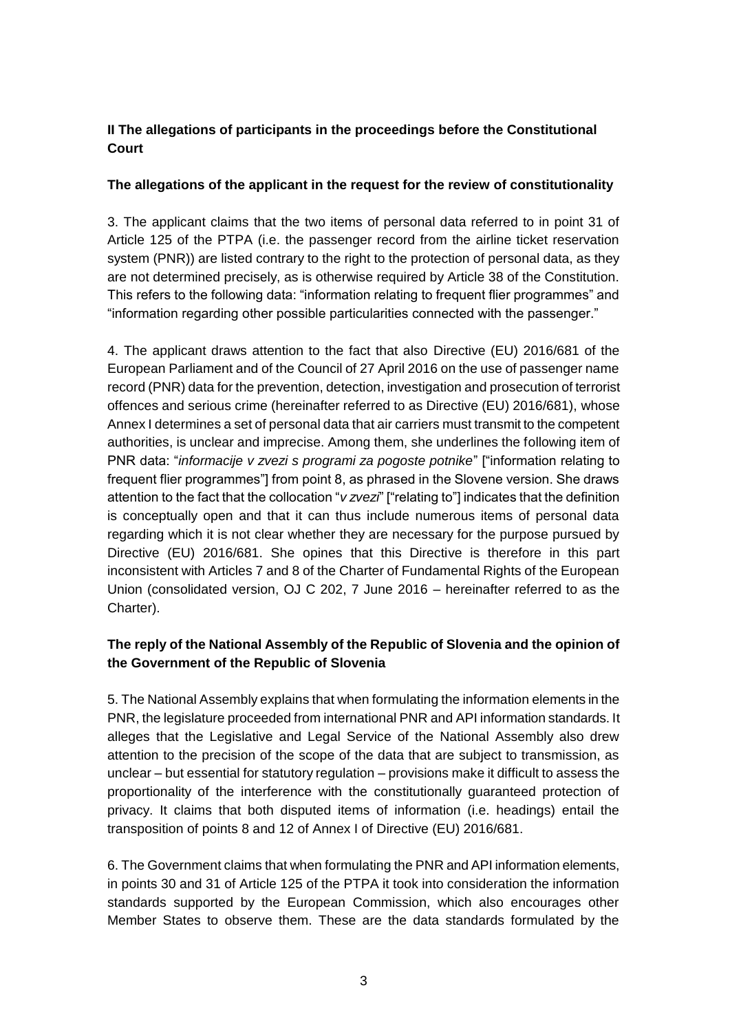## **II The allegations of participants in the proceedings before the Constitutional Court**

## **The allegations of the applicant in the request for the review of constitutionality**

3. The applicant claims that the two items of personal data referred to in point 31 of Article 125 of the PTPA (i.e. the passenger record from the airline ticket reservation system (PNR)) are listed contrary to the right to the protection of personal data, as they are not determined precisely, as is otherwise required by Article 38 of the Constitution. This refers to the following data: "information relating to frequent flier programmes" and "information regarding other possible particularities connected with the passenger."

4. The applicant draws attention to the fact that also Directive (EU) 2016/681 of the European Parliament and of the Council of 27 April 2016 on the use of passenger name record (PNR) data for the prevention, detection, investigation and prosecution of terrorist offences and serious crime (hereinafter referred to as Directive (EU) 2016/681), whose Annex I determines a set of personal data that air carriers must transmit to the competent authorities, is unclear and imprecise. Among them, she underlines the following item of PNR data: "*informacije v zvezi s programi za pogoste potnike*" ["information relating to frequent flier programmes"] from point 8, as phrased in the Slovene version. She draws attention to the fact that the collocation "*v zvezi*" ["relating to"] indicates that the definition is conceptually open and that it can thus include numerous items of personal data regarding which it is not clear whether they are necessary for the purpose pursued by Directive (EU) 2016/681. She opines that this Directive is therefore in this part inconsistent with Articles 7 and 8 of the Charter of Fundamental Rights of the European Union (consolidated version, OJ C 202, 7 June 2016 – hereinafter referred to as the Charter).

## **The reply of the National Assembly of the Republic of Slovenia and the opinion of the Government of the Republic of Slovenia**

5. The National Assembly explains that when formulating the information elements in the PNR, the legislature proceeded from international PNR and API information standards. It alleges that the Legislative and Legal Service of the National Assembly also drew attention to the precision of the scope of the data that are subject to transmission, as unclear – but essential for statutory regulation – provisions make it difficult to assess the proportionality of the interference with the constitutionally guaranteed protection of privacy. It claims that both disputed items of information (i.e. headings) entail the transposition of points 8 and 12 of Annex I of Directive (EU) 2016/681.

6. The Government claims that when formulating the PNR and API information elements, in points 30 and 31 of Article 125 of the PTPA it took into consideration the information standards supported by the European Commission, which also encourages other Member States to observe them. These are the data standards formulated by the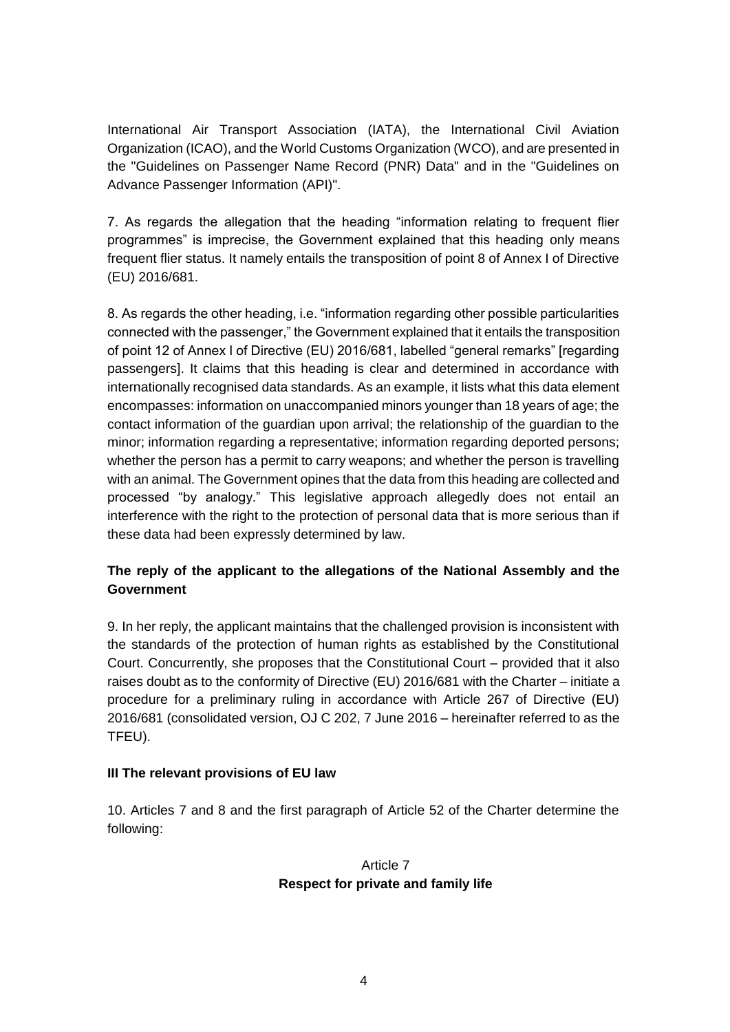International Air Transport Association (IATA), the International Civil Aviation Organization (ICAO), and the World Customs Organization (WCO), and are presented in the "Guidelines on Passenger Name Record (PNR) Data" and in the "Guidelines on Advance Passenger Information (API)".

7. As regards the allegation that the heading "information relating to frequent flier programmes" is imprecise, the Government explained that this heading only means frequent flier status. It namely entails the transposition of point 8 of Annex I of Directive (EU) 2016/681.

8. As regards the other heading, i.e. "information regarding other possible particularities connected with the passenger," the Government explained that it entails the transposition of point 12 of Annex I of Directive (EU) 2016/681, labelled "general remarks" [regarding passengers]. It claims that this heading is clear and determined in accordance with internationally recognised data standards. As an example, it lists what this data element encompasses: information on unaccompanied minors younger than 18 years of age; the contact information of the guardian upon arrival; the relationship of the guardian to the minor; information regarding a representative; information regarding deported persons; whether the person has a permit to carry weapons; and whether the person is travelling with an animal. The Government opines that the data from this heading are collected and processed "by analogy." This legislative approach allegedly does not entail an interference with the right to the protection of personal data that is more serious than if these data had been expressly determined by law.

## **The reply of the applicant to the allegations of the National Assembly and the Government**

9. In her reply, the applicant maintains that the challenged provision is inconsistent with the standards of the protection of human rights as established by the Constitutional Court. Concurrently, she proposes that the Constitutional Court – provided that it also raises doubt as to the conformity of Directive (EU) 2016/681 with the Charter – initiate a procedure for a preliminary ruling in accordance with Article 267 of Directive (EU) 2016/681 (consolidated version, OJ C 202, 7 June 2016 – hereinafter referred to as the TFEU).

#### **III The relevant provisions of EU law**

10. Articles 7 and 8 and the first paragraph of Article 52 of the Charter determine the following:

## Article 7 **Respect for private and family life**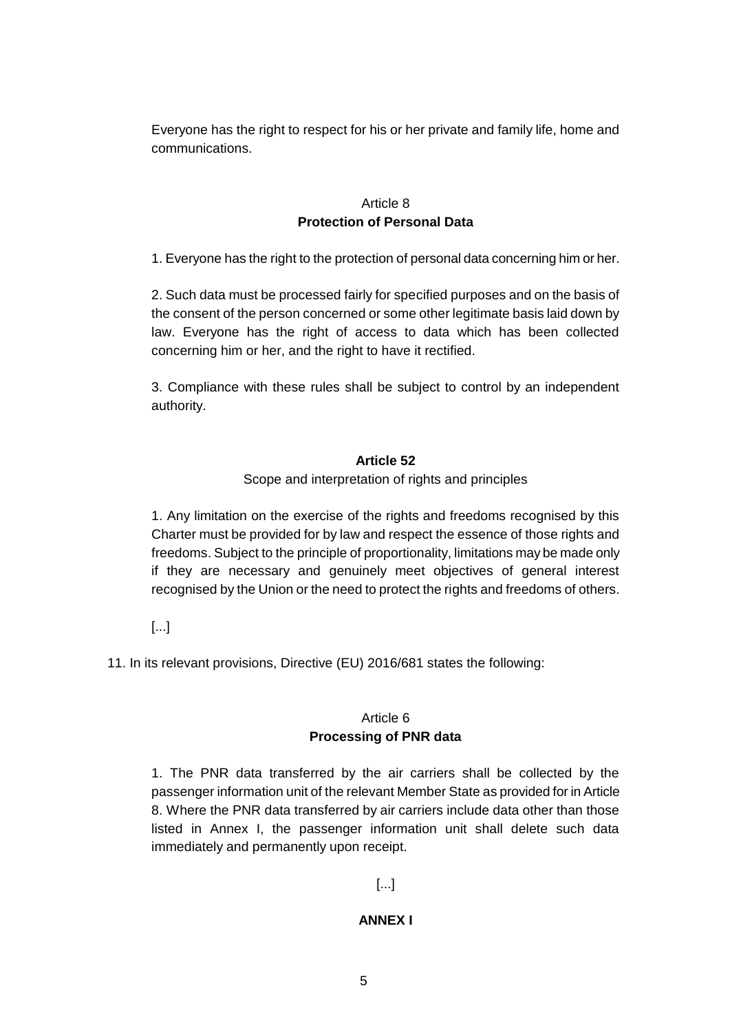Everyone has the right to respect for his or her private and family life, home and communications.

### Article 8 **Protection of Personal Data**

1. Everyone has the right to the protection of personal data concerning him or her.

2. Such data must be processed fairly for specified purposes and on the basis of the consent of the person concerned or some other legitimate basis laid down by law. Everyone has the right of access to data which has been collected concerning him or her, and the right to have it rectified.

3. Compliance with these rules shall be subject to control by an independent authority.

### **Article 52**

Scope and interpretation of rights and principles

1. Any limitation on the exercise of the rights and freedoms recognised by this Charter must be provided for by law and respect the essence of those rights and freedoms. Subject to the principle of proportionality, limitations may be made only if they are necessary and genuinely meet objectives of general interest recognised by the Union or the need to protect the rights and freedoms of others.

[...]

11. In its relevant provisions, Directive (EU) 2016/681 states the following:

#### Article 6 **Processing of PNR data**

1. The PNR data transferred by the air carriers shall be collected by the passenger information unit of the relevant Member State as provided for in Article 8. Where the PNR data transferred by air carriers include data other than those listed in Annex I, the passenger information unit shall delete such data immediately and permanently upon receipt.

## [...]

## **ANNEX I**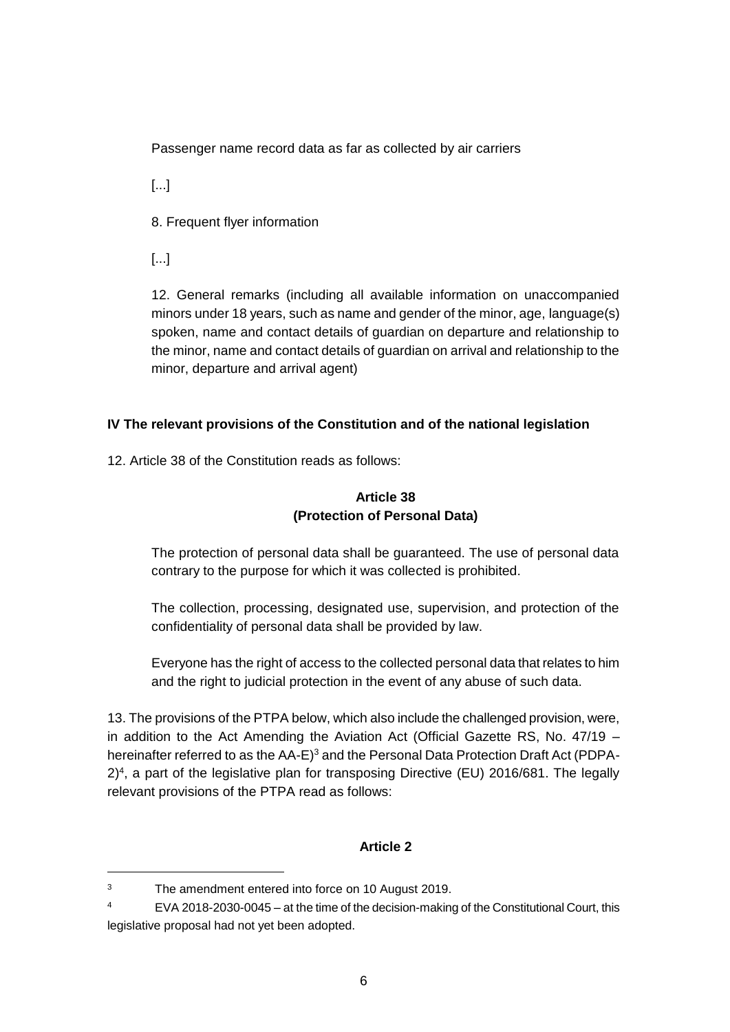Passenger name record data as far as collected by air carriers

[...]

8. Frequent flyer information

[...]

 $\overline{a}$ 

12. General remarks (including all available information on unaccompanied minors under 18 years, such as name and gender of the minor, age, language(s) spoken, name and contact details of guardian on departure and relationship to the minor, name and contact details of guardian on arrival and relationship to the minor, departure and arrival agent)

## **IV The relevant provisions of the Constitution and of the national legislation**

12. Article 38 of the Constitution reads as follows:

# **Article 38 (Protection of Personal Data)**

The protection of personal data shall be guaranteed. The use of personal data contrary to the purpose for which it was collected is prohibited.

The collection, processing, designated use, supervision, and protection of the confidentiality of personal data shall be provided by law.

Everyone has the right of access to the collected personal data that relates to him and the right to judicial protection in the event of any abuse of such data.

13. The provisions of the PTPA below, which also include the challenged provision, were, in addition to the Act Amending the Aviation Act (Official Gazette RS, No. 47/19 – hereinafter referred to as the AA-E)<sup>3</sup> and the Personal Data Protection Draft Act (PDPA-2)<sup>4</sup> , a part of the legislative plan for transposing Directive (EU) 2016/681. The legally relevant provisions of the PTPA read as follows:

## **Article 2**

<sup>3</sup> The amendment entered into force on 10 August 2019.

<sup>4</sup> EVA 2018-2030-0045 – at the time of the decision-making of the Constitutional Court, this legislative proposal had not yet been adopted.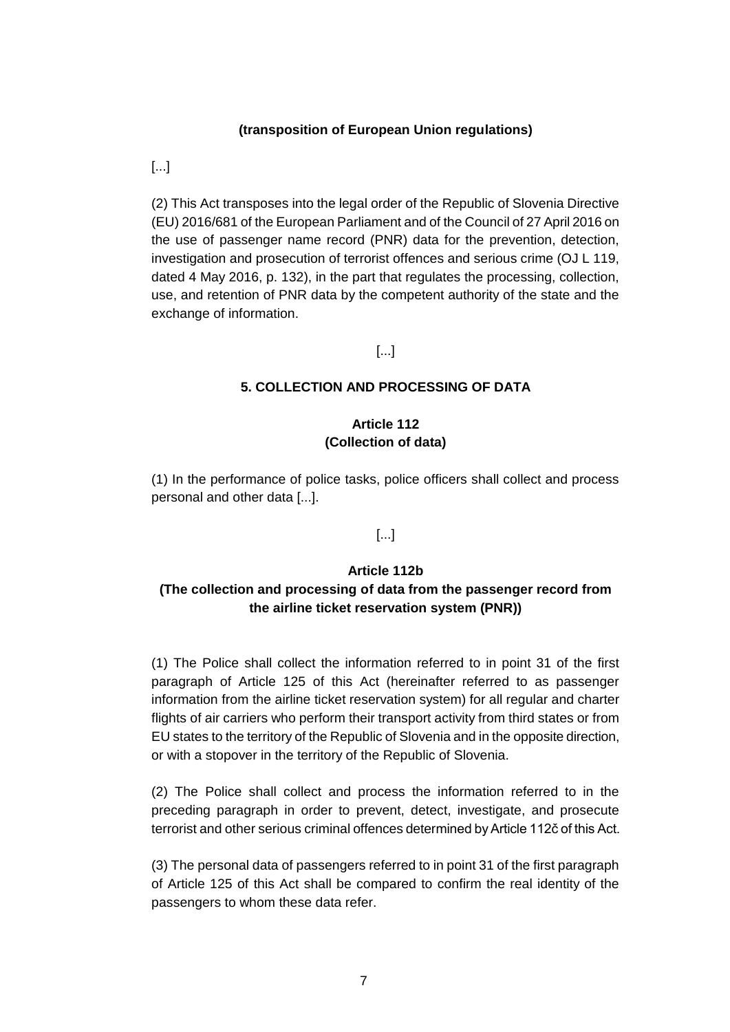#### **(transposition of European Union regulations)**

[...]

(2) This Act transposes into the legal order of the Republic of Slovenia Directive (EU) 2016/681 of the European Parliament and of the Council of 27 April 2016 on the use of passenger name record (PNR) data for the prevention, detection, investigation and prosecution of terrorist offences and serious crime (OJ L 119, dated 4 May 2016, p. 132), in the part that regulates the processing, collection, use, and retention of PNR data by the competent authority of the state and the exchange of information.

#### [...]

#### **5. COLLECTION AND PROCESSING OF DATA**

## **Article 112 (Collection of data)**

(1) In the performance of police tasks, police officers shall collect and process personal and other data [...].

#### [...]

#### **Article 112b**

## **(The collection and processing of data from the passenger record from the airline ticket reservation system (PNR))**

(1) The Police shall collect the information referred to in point 31 of the first paragraph of Article 125 of this Act (hereinafter referred to as passenger information from the airline ticket reservation system) for all regular and charter flights of air carriers who perform their transport activity from third states or from EU states to the territory of the Republic of Slovenia and in the opposite direction, or with a stopover in the territory of the Republic of Slovenia.

(2) The Police shall collect and process the information referred to in the preceding paragraph in order to prevent, detect, investigate, and prosecute terrorist and other serious criminal offences determined by Article 112č of this Act.

(3) The personal data of passengers referred to in point 31 of the first paragraph of Article 125 of this Act shall be compared to confirm the real identity of the passengers to whom these data refer.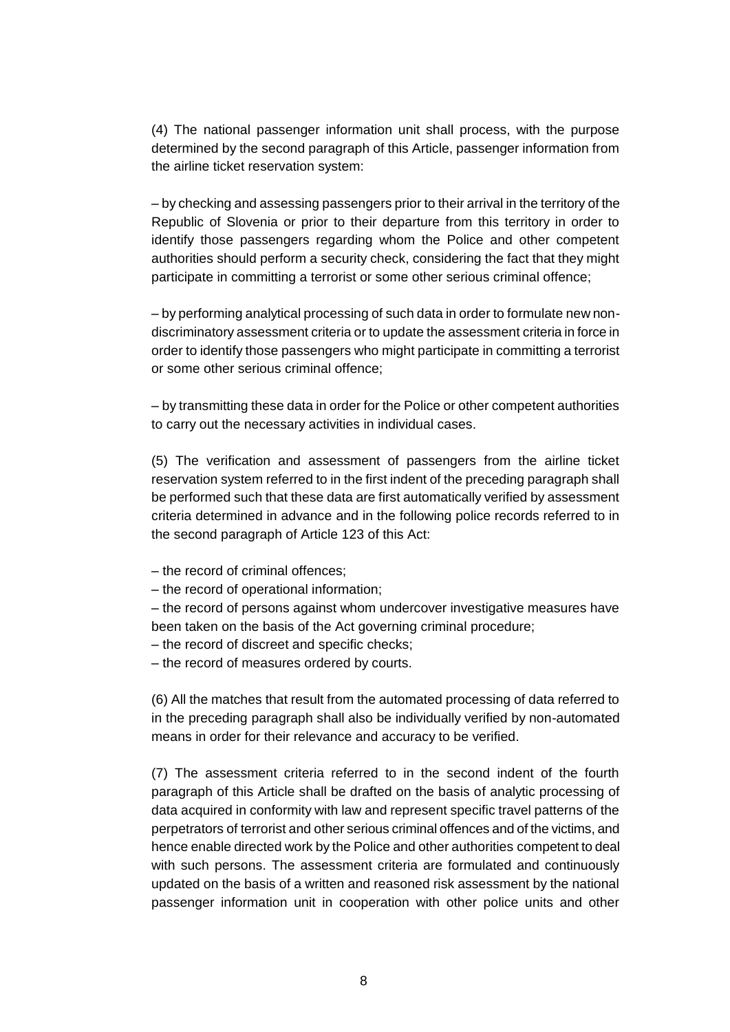(4) The national passenger information unit shall process, with the purpose determined by the second paragraph of this Article, passenger information from the airline ticket reservation system:

– by checking and assessing passengers prior to their arrival in the territory of the Republic of Slovenia or prior to their departure from this territory in order to identify those passengers regarding whom the Police and other competent authorities should perform a security check, considering the fact that they might participate in committing a terrorist or some other serious criminal offence;

– by performing analytical processing of such data in order to formulate new nondiscriminatory assessment criteria or to update the assessment criteria in force in order to identify those passengers who might participate in committing a terrorist or some other serious criminal offence;

– by transmitting these data in order for the Police or other competent authorities to carry out the necessary activities in individual cases.

(5) The verification and assessment of passengers from the airline ticket reservation system referred to in the first indent of the preceding paragraph shall be performed such that these data are first automatically verified by assessment criteria determined in advance and in the following police records referred to in the second paragraph of Article 123 of this Act:

- the record of criminal offences;
- the record of operational information;

– the record of persons against whom undercover investigative measures have been taken on the basis of the Act governing criminal procedure;

– the record of discreet and specific checks;

– the record of measures ordered by courts.

(6) All the matches that result from the automated processing of data referred to in the preceding paragraph shall also be individually verified by non-automated means in order for their relevance and accuracy to be verified.

(7) The assessment criteria referred to in the second indent of the fourth paragraph of this Article shall be drafted on the basis of analytic processing of data acquired in conformity with law and represent specific travel patterns of the perpetrators of terrorist and other serious criminal offences and of the victims, and hence enable directed work by the Police and other authorities competent to deal with such persons. The assessment criteria are formulated and continuously updated on the basis of a written and reasoned risk assessment by the national passenger information unit in cooperation with other police units and other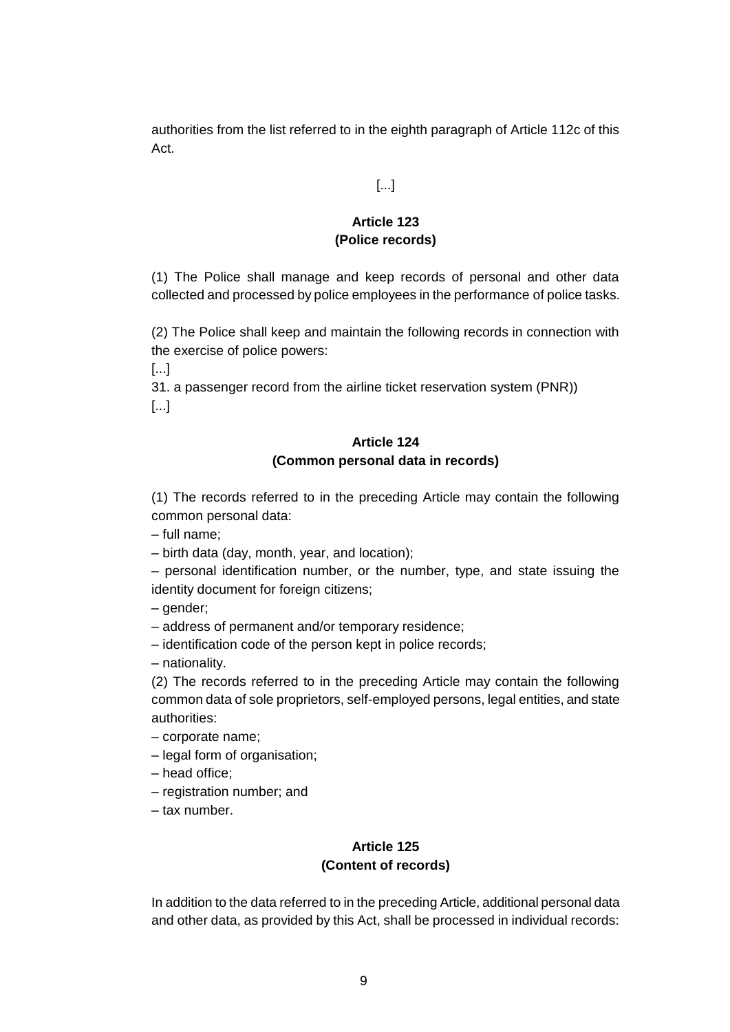authorities from the list referred to in the eighth paragraph of Article 112c of this Act.

### [...]

## **Article 123 (Police records)**

(1) The Police shall manage and keep records of personal and other data collected and processed by police employees in the performance of police tasks.

(2) The Police shall keep and maintain the following records in connection with the exercise of police powers:

[...]

31. a passenger record from the airline ticket reservation system (PNR)) [...]

# **Article 124 (Common personal data in records)**

(1) The records referred to in the preceding Article may contain the following common personal data:

- full name;
- birth data (day, month, year, and location);
- personal identification number, or the number, type, and state issuing the identity document for foreign citizens;

– gender;

- address of permanent and/or temporary residence;
- identification code of the person kept in police records;

– nationality.

(2) The records referred to in the preceding Article may contain the following common data of sole proprietors, self-employed persons, legal entities, and state authorities:

- corporate name;
- legal form of organisation;
- head office;
- registration number; and
- tax number.

## **Article 125 (Content of records)**

In addition to the data referred to in the preceding Article, additional personal data and other data, as provided by this Act, shall be processed in individual records: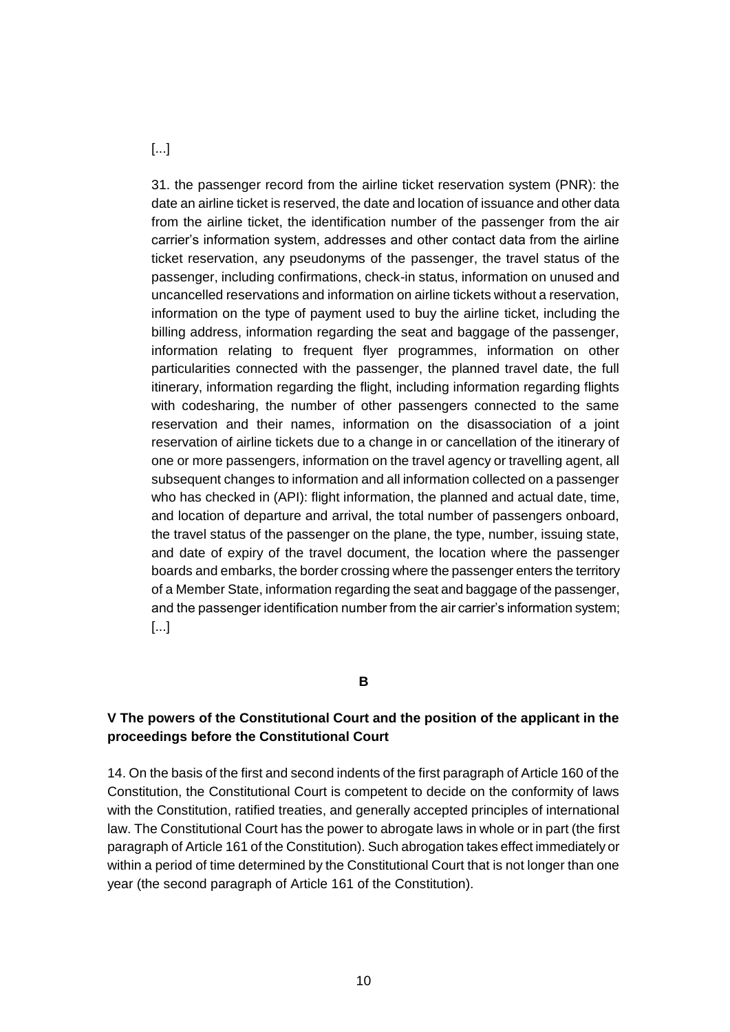[...]

31. the passenger record from the airline ticket reservation system (PNR): the date an airline ticket is reserved, the date and location of issuance and other data from the airline ticket, the identification number of the passenger from the air carrier's information system, addresses and other contact data from the airline ticket reservation, any pseudonyms of the passenger, the travel status of the passenger, including confirmations, check-in status, information on unused and uncancelled reservations and information on airline tickets without a reservation, information on the type of payment used to buy the airline ticket, including the billing address, information regarding the seat and baggage of the passenger, information relating to frequent flyer programmes, information on other particularities connected with the passenger, the planned travel date, the full itinerary, information regarding the flight, including information regarding flights with codesharing, the number of other passengers connected to the same reservation and their names, information on the disassociation of a joint reservation of airline tickets due to a change in or cancellation of the itinerary of one or more passengers, information on the travel agency or travelling agent, all subsequent changes to information and all information collected on a passenger who has checked in (API): flight information, the planned and actual date, time, and location of departure and arrival, the total number of passengers onboard, the travel status of the passenger on the plane, the type, number, issuing state, and date of expiry of the travel document, the location where the passenger boards and embarks, the border crossing where the passenger enters the territory of a Member State, information regarding the seat and baggage of the passenger, and the passenger identification number from the air carrier's information system; [...]

#### **B**

## **V The powers of the Constitutional Court and the position of the applicant in the proceedings before the Constitutional Court**

14. On the basis of the first and second indents of the first paragraph of Article 160 of the Constitution, the Constitutional Court is competent to decide on the conformity of laws with the Constitution, ratified treaties, and generally accepted principles of international law. The Constitutional Court has the power to abrogate laws in whole or in part (the first paragraph of Article 161 of the Constitution). Such abrogation takes effect immediately or within a period of time determined by the Constitutional Court that is not longer than one year (the second paragraph of Article 161 of the Constitution).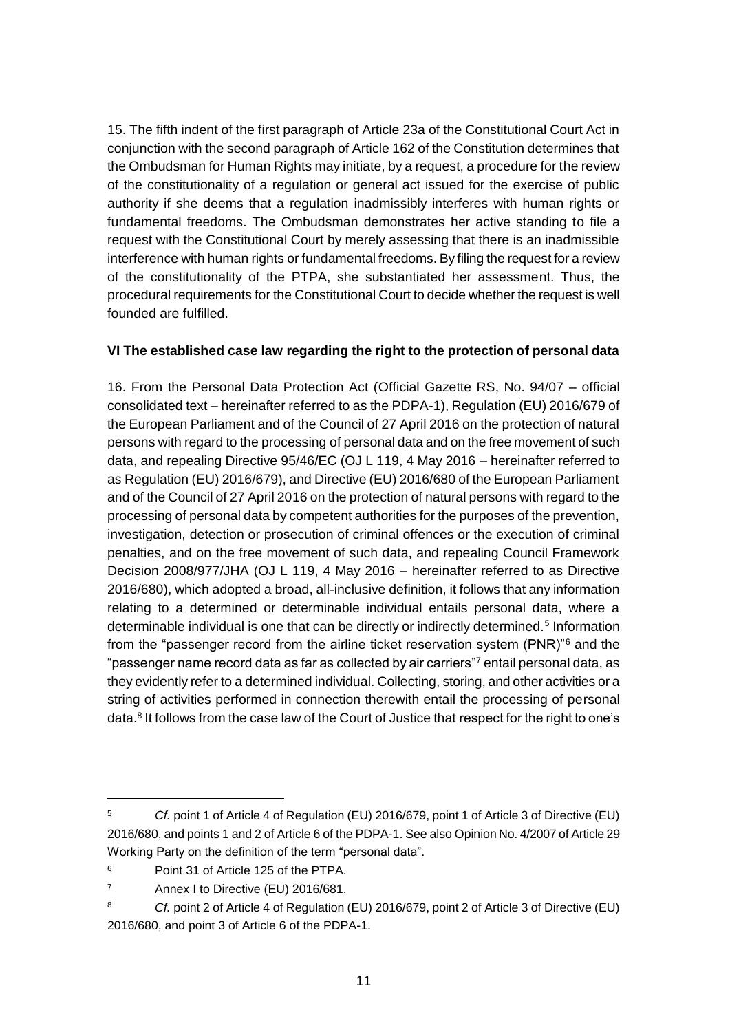15. The fifth indent of the first paragraph of Article 23a of the Constitutional Court Act in conjunction with the second paragraph of Article 162 of the Constitution determines that the Ombudsman for Human Rights may initiate, by a request, a procedure for the review of the constitutionality of a regulation or general act issued for the exercise of public authority if she deems that a regulation inadmissibly interferes with human rights or fundamental freedoms. The Ombudsman demonstrates her active standing to file a request with the Constitutional Court by merely assessing that there is an inadmissible interference with human rights or fundamental freedoms. By filing the request for a review of the constitutionality of the PTPA, she substantiated her assessment. Thus, the procedural requirements for the Constitutional Court to decide whether the request is well founded are fulfilled.

### **VI The established case law regarding the right to the protection of personal data**

16. From the Personal Data Protection Act (Official Gazette RS, No. 94/07 – official consolidated text – hereinafter referred to as the PDPA-1), Regulation (EU) 2016/679 of the European Parliament and of the Council of 27 April 2016 on the protection of natural persons with regard to the processing of personal data and on the free movement of such data, and repealing Directive 95/46/EC (OJ L 119, 4 May 2016 – hereinafter referred to as Regulation (EU) 2016/679), and Directive (EU) 2016/680 of the European Parliament and of the Council of 27 April 2016 on the protection of natural persons with regard to the processing of personal data by competent authorities for the purposes of the prevention, investigation, detection or prosecution of criminal offences or the execution of criminal penalties, and on the free movement of such data, and repealing Council Framework Decision 2008/977/JHA (OJ L 119, 4 May 2016 – hereinafter referred to as Directive 2016/680), which adopted a broad, all-inclusive definition, it follows that any information relating to a determined or determinable individual entails personal data, where a determinable individual is one that can be directly or indirectly determined.<sup>5</sup> Information from the "passenger record from the airline ticket reservation system (PNR)"<sup>6</sup> and the "passenger name record data as far as collected by air carriers"<sup>7</sup> entail personal data, as they evidently refer to a determined individual. Collecting, storing, and other activities or a string of activities performed in connection therewith entail the processing of personal data.<sup>8</sup> It follows from the case law of the Court of Justice that respect for the right to one's

<sup>5</sup> *Cf.* point 1 of Article 4 of Regulation (EU) 2016/679, point 1 of Article 3 of Directive (EU) 2016/680, and points 1 and 2 of Article 6 of the PDPA-1. See also Opinion No. 4/2007 of Article 29 Working Party on the definition of the term "personal data".

<sup>6</sup> Point 31 of Article 125 of the PTPA.

<sup>7</sup> Annex I to Directive (EU) 2016/681.

<sup>8</sup> *Cf.* point 2 of Article 4 of Regulation (EU) 2016/679, point 2 of Article 3 of Directive (EU) 2016/680, and point 3 of Article 6 of the PDPA-1.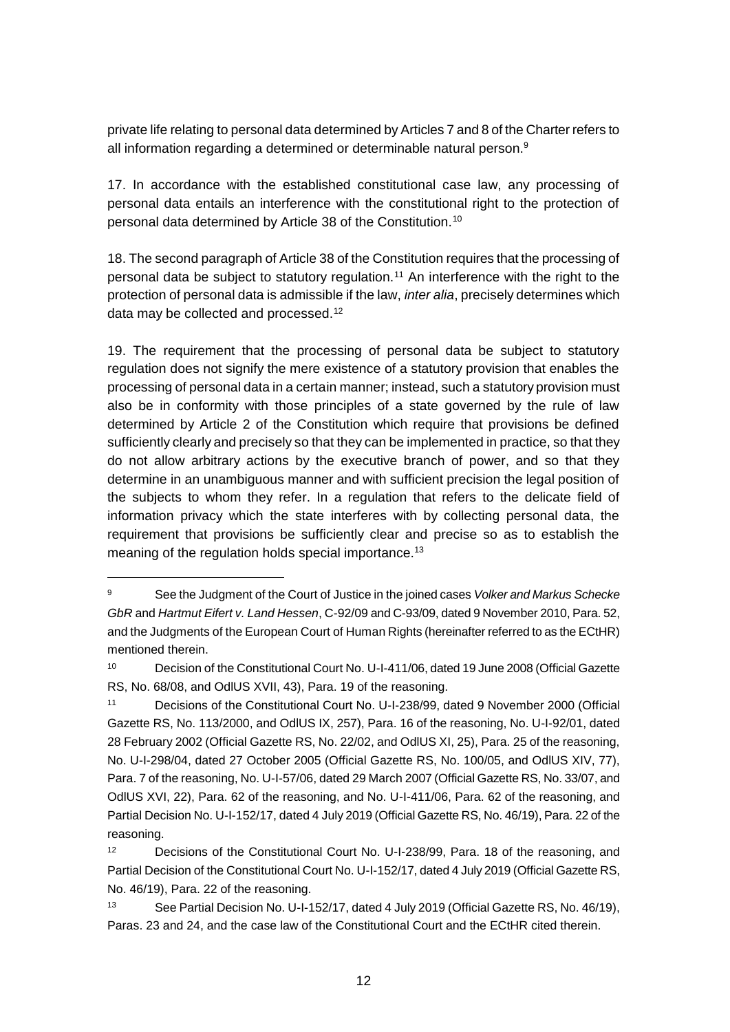private life relating to personal data determined by Articles 7 and 8 of the Charter refers to all information regarding a determined or determinable natural person.<sup>9</sup>

17. In accordance with the established constitutional case law, any processing of personal data entails an interference with the constitutional right to the protection of personal data determined by Article 38 of the Constitution.<sup>10</sup>

18. The second paragraph of Article 38 of the Constitution requires that the processing of personal data be subject to statutory regulation.<sup>11</sup> An interference with the right to the protection of personal data is admissible if the law, *inter alia*, precisely determines which data may be collected and processed.<sup>12</sup>

19. The requirement that the processing of personal data be subject to statutory regulation does not signify the mere existence of a statutory provision that enables the processing of personal data in a certain manner; instead, such a statutory provision must also be in conformity with those principles of a state governed by the rule of law determined by Article 2 of the Constitution which require that provisions be defined sufficiently clearly and precisely so that they can be implemented in practice, so that they do not allow arbitrary actions by the executive branch of power, and so that they determine in an unambiguous manner and with sufficient precision the legal position of the subjects to whom they refer. In a regulation that refers to the delicate field of information privacy which the state interferes with by collecting personal data, the requirement that provisions be sufficiently clear and precise so as to establish the meaning of the regulation holds special importance.<sup>13</sup>

<sup>9</sup> See the Judgment of the Court of Justice in the joined cases *Volker and Markus Schecke GbR* and *Hartmut Eifert v. Land Hessen*, C-92/09 and C-93/09, dated 9 November 2010, Para. 52, and the Judgments of the European Court of Human Rights (hereinafter referred to as the ECtHR) mentioned therein.

<sup>10</sup> Decision of the Constitutional Court No. U-I-411/06, dated 19 June 2008 (Official Gazette RS, No. 68/08, and OdlUS XVII, 43), Para. 19 of the reasoning.

<sup>11</sup> Decisions of the Constitutional Court No. U-I-238/99, dated 9 November 2000 (Official Gazette RS, No. 113/2000, and OdlUS IX, 257), Para. 16 of the reasoning, No. U-I-92/01, dated 28 February 2002 (Official Gazette RS, No. 22/02, and OdlUS XI, 25), Para. 25 of the reasoning, No. U-I-298/04, dated 27 October 2005 (Official Gazette RS, No. 100/05, and OdlUS XIV, 77), Para. 7 of the reasoning, No. U-I-57/06, dated 29 March 2007 (Official Gazette RS, No. 33/07, and OdlUS XVI, 22), Para. 62 of the reasoning, and No. U-I-411/06, Para. 62 of the reasoning, and Partial Decision No. U-I-152/17, dated 4 July 2019 (Official Gazette RS, No. 46/19), Para. 22 of the reasoning.

<sup>12</sup> Decisions of the Constitutional Court No. U-I-238/99, Para. 18 of the reasoning, and Partial Decision of the Constitutional Court No. U-I-152/17, dated 4 July 2019 (Official Gazette RS, No. 46/19), Para. 22 of the reasoning.

<sup>13</sup> See Partial Decision No. U-I-152/17, dated 4 July 2019 (Official Gazette RS, No. 46/19), Paras. 23 and 24, and the case law of the Constitutional Court and the ECtHR cited therein.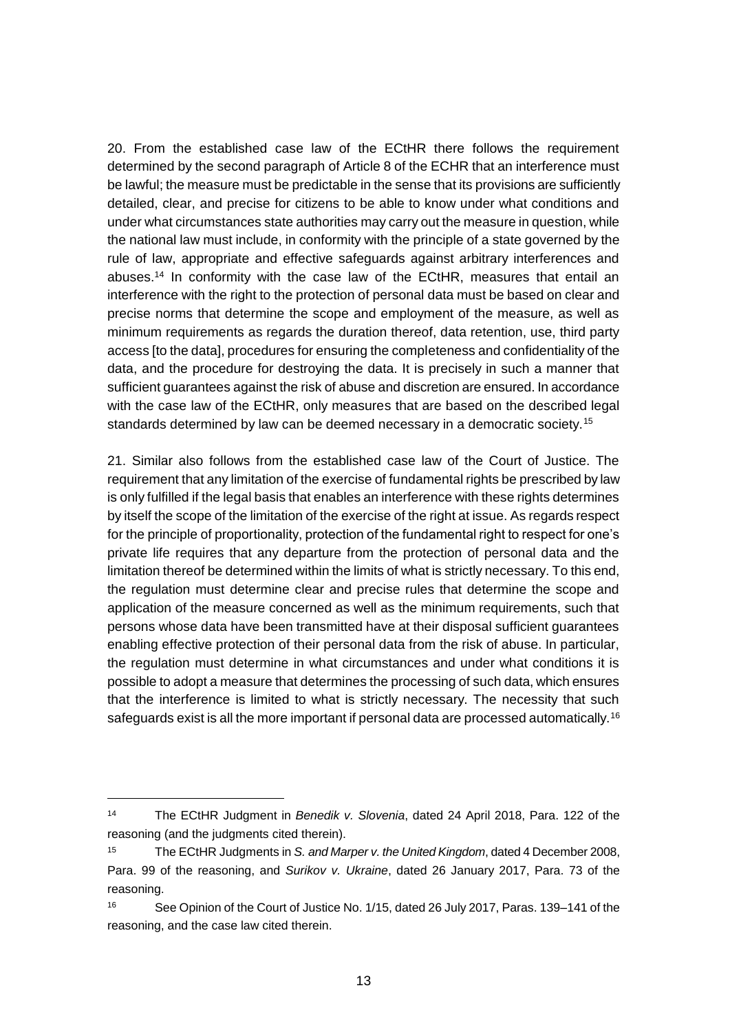20. From the established case law of the ECtHR there follows the requirement determined by the second paragraph of Article 8 of the ECHR that an interference must be lawful; the measure must be predictable in the sense that its provisions are sufficiently detailed, clear, and precise for citizens to be able to know under what conditions and under what circumstances state authorities may carry out the measure in question, while the national law must include, in conformity with the principle of a state governed by the rule of law, appropriate and effective safeguards against arbitrary interferences and abuses.<sup>14</sup> In conformity with the case law of the ECtHR, measures that entail an interference with the right to the protection of personal data must be based on clear and precise norms that determine the scope and employment of the measure, as well as minimum requirements as regards the duration thereof, data retention, use, third party access [to the data], procedures for ensuring the completeness and confidentiality of the data, and the procedure for destroying the data. It is precisely in such a manner that sufficient guarantees against the risk of abuse and discretion are ensured. In accordance with the case law of the ECtHR, only measures that are based on the described legal standards determined by law can be deemed necessary in a democratic society.<sup>15</sup>

21. Similar also follows from the established case law of the Court of Justice. The requirement that any limitation of the exercise of fundamental rights be prescribed by law is only fulfilled if the legal basis that enables an interference with these rights determines by itself the scope of the limitation of the exercise of the right at issue. As regards respect for the principle of proportionality, protection of the fundamental right to respect for one's private life requires that any departure from the protection of personal data and the limitation thereof be determined within the limits of what is strictly necessary. To this end, the regulation must determine clear and precise rules that determine the scope and application of the measure concerned as well as the minimum requirements, such that persons whose data have been transmitted have at their disposal sufficient guarantees enabling effective protection of their personal data from the risk of abuse. In particular, the regulation must determine in what circumstances and under what conditions it is possible to adopt a measure that determines the processing of such data, which ensures that the interference is limited to what is strictly necessary. The necessity that such safeguards exist is all the more important if personal data are processed automatically.<sup>16</sup>

<sup>14</sup> The ECtHR Judgment in *Benedik v. Slovenia*, dated 24 April 2018, Para. 122 of the reasoning (and the judgments cited therein).

<sup>15</sup> The ECtHR Judgments in *S. and Marper v. the United Kingdom*, dated 4 December 2008, Para. 99 of the reasoning, and *Surikov v. Ukraine*, dated 26 January 2017, Para. 73 of the reasoning.

<sup>16</sup> See Opinion of the Court of Justice No. 1/15, dated 26 July 2017, Paras. 139–141 of the reasoning, and the case law cited therein.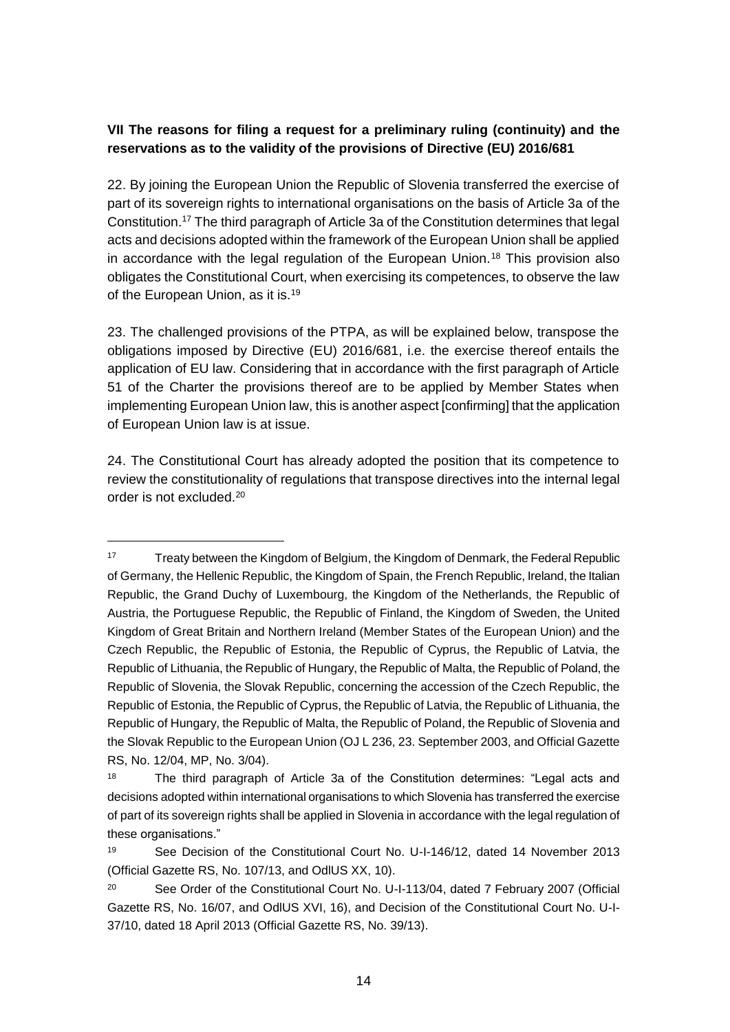## **VII The reasons for filing a request for a preliminary ruling (continuity) and the reservations as to the validity of the provisions of Directive (EU) 2016/681**

22. By joining the European Union the Republic of Slovenia transferred the exercise of part of its sovereign rights to international organisations on the basis of Article 3a of the Constitution.<sup>17</sup> The third paragraph of Article 3a of the Constitution determines that legal acts and decisions adopted within the framework of the European Union shall be applied in accordance with the legal regulation of the European Union.<sup>18</sup> This provision also obligates the Constitutional Court, when exercising its competences, to observe the law of the European Union, as it is.<sup>19</sup>

23. The challenged provisions of the PTPA, as will be explained below, transpose the obligations imposed by Directive (EU) 2016/681, i.e. the exercise thereof entails the application of EU law. Considering that in accordance with the first paragraph of Article 51 of the Charter the provisions thereof are to be applied by Member States when implementing European Union law, this is another aspect [confirming] that the application of European Union law is at issue.

24. The Constitutional Court has already adopted the position that its competence to review the constitutionality of regulations that transpose directives into the internal legal order is not excluded.<sup>20</sup>

<sup>17</sup> Treaty between the Kingdom of Belgium, the Kingdom of Denmark, the Federal Republic of Germany, the Hellenic Republic, the Kingdom of Spain, the French Republic, Ireland, the Italian Republic, the Grand Duchy of Luxembourg, the Kingdom of the Netherlands, the Republic of Austria, the Portuguese Republic, the Republic of Finland, the Kingdom of Sweden, the United Kingdom of Great Britain and Northern Ireland (Member States of the European Union) and the Czech Republic, the Republic of Estonia, the Republic of Cyprus, the Republic of Latvia, the Republic of Lithuania, the Republic of Hungary, the Republic of Malta, the Republic of Poland, the Republic of Slovenia, the Slovak Republic, concerning the accession of the Czech Republic, the Republic of Estonia, the Republic of Cyprus, the Republic of Latvia, the Republic of Lithuania, the Republic of Hungary, the Republic of Malta, the Republic of Poland, the Republic of Slovenia and the Slovak Republic to the European Union (OJ L 236, 23. September 2003, and Official Gazette RS, No. 12/04, MP, No. 3/04).

<sup>18</sup> The third paragraph of Article 3a of the Constitution determines: "Legal acts and decisions adopted within international organisations to which Slovenia has transferred the exercise of part of its sovereign rights shall be applied in Slovenia in accordance with the legal regulation of these organisations."

<sup>19</sup> See Decision of the Constitutional Court No. U-I-146/12, dated 14 November 2013 (Official Gazette RS, No. 107/13, and OdlUS XX, 10).

<sup>&</sup>lt;sup>20</sup> See Order of the Constitutional Court No. U-I-113/04, dated 7 February 2007 (Official Gazette RS, No. 16/07, and OdlUS XVI, 16), and Decision of the Constitutional Court No. U-I-37/10, dated 18 April 2013 (Official Gazette RS, No. 39/13).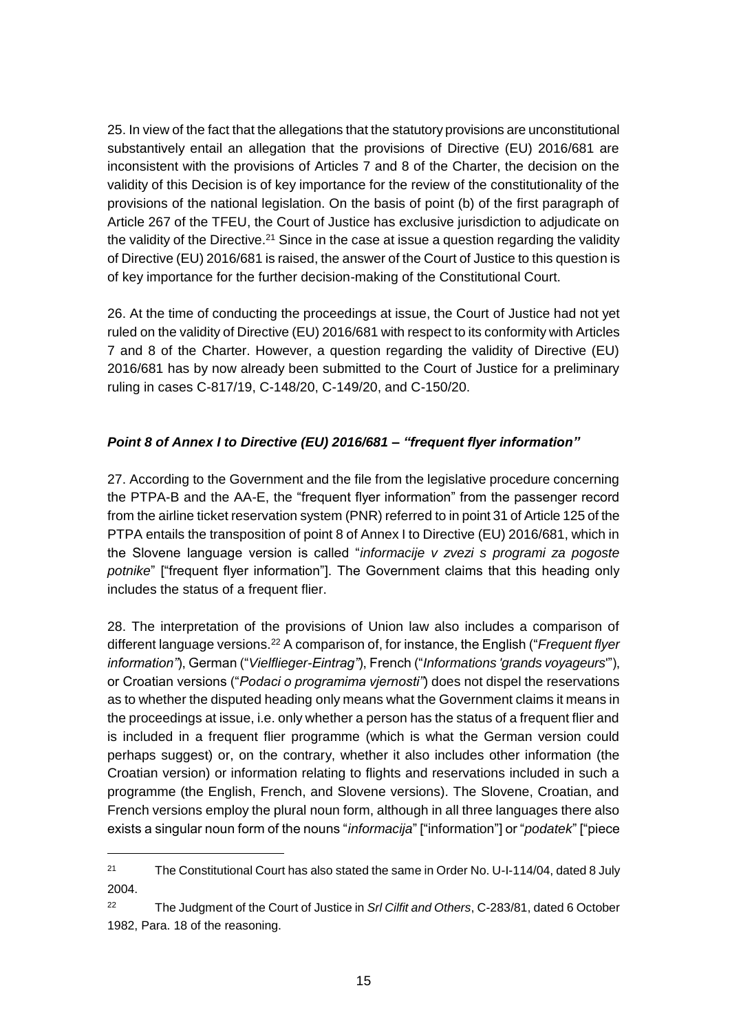25. In view of the fact that the allegations that the statutory provisions are unconstitutional substantively entail an allegation that the provisions of Directive (EU) 2016/681 are inconsistent with the provisions of Articles 7 and 8 of the Charter, the decision on the validity of this Decision is of key importance for the review of the constitutionality of the provisions of the national legislation. On the basis of point (b) of the first paragraph of Article 267 of the TFEU, the Court of Justice has exclusive jurisdiction to adjudicate on the validity of the Directive.<sup>21</sup> Since in the case at issue a question regarding the validity of Directive (EU) 2016/681 is raised, the answer of the Court of Justice to this question is of key importance for the further decision-making of the Constitutional Court.

26. At the time of conducting the proceedings at issue, the Court of Justice had not yet ruled on the validity of Directive (EU) 2016/681 with respect to its conformity with Articles 7 and 8 of the Charter. However, a question regarding the validity of Directive (EU) 2016/681 has by now already been submitted to the Court of Justice for a preliminary ruling in cases C-817/19, C-148/20, C-149/20, and C-150/20.

## *Point 8 of Annex I to Directive (EU) 2016/681 – "frequent flyer information"*

27. According to the Government and the file from the legislative procedure concerning the PTPA-B and the AA-E, the "frequent flyer information" from the passenger record from the airline ticket reservation system (PNR) referred to in point 31 of Article 125 of the PTPA entails the transposition of point 8 of Annex I to Directive (EU) 2016/681, which in the Slovene language version is called "*informacije v zvezi s programi za pogoste potnike*" ["frequent flyer information"]. The Government claims that this heading only includes the status of a frequent flier.

28. The interpretation of the provisions of Union law also includes a comparison of different language versions.<sup>22</sup> A comparison of, for instance, the English ("*Frequent flyer information"*), German ("*Vielflieger-Eintrag"*), French ("*Informations 'grands voyageurs*'"), or Croatian versions ("*Podaci o programima vjernosti"*) does not dispel the reservations as to whether the disputed heading only means what the Government claims it means in the proceedings at issue, i.e. only whether a person has the status of a frequent flier and is included in a frequent flier programme (which is what the German version could perhaps suggest) or, on the contrary, whether it also includes other information (the Croatian version) or information relating to flights and reservations included in such a programme (the English, French, and Slovene versions). The Slovene, Croatian, and French versions employ the plural noun form, although in all three languages there also exists a singular noun form of the nouns "*informacija*" ["information"] or "*podatek*" ["piece

 $\overline{a}$ 

<sup>&</sup>lt;sup>21</sup> The Constitutional Court has also stated the same in Order No. U-I-114/04, dated 8 July 2004.

<sup>22</sup> The Judgment of the Court of Justice in *Srl Cilfit and Others*, C-283/81, dated 6 October 1982, Para. 18 of the reasoning.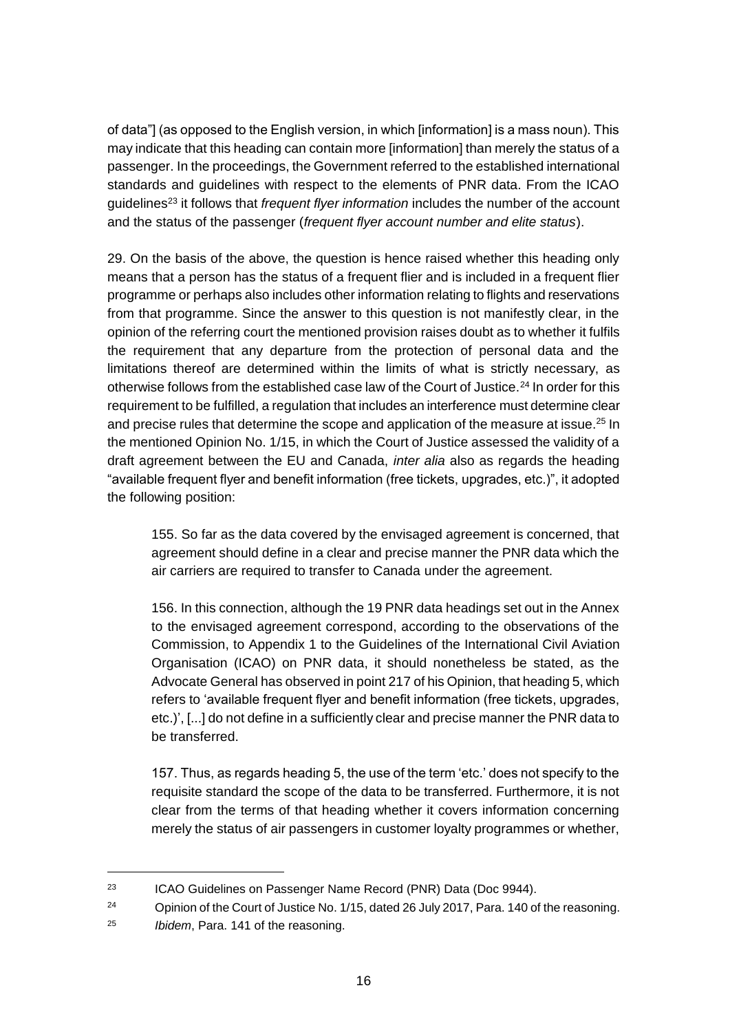of data"] (as opposed to the English version, in which [information] is a mass noun). This may indicate that this heading can contain more [information] than merely the status of a passenger. In the proceedings, the Government referred to the established international standards and guidelines with respect to the elements of PNR data. From the ICAO guidelines<sup>23</sup> it follows that *frequent flyer information* includes the number of the account and the status of the passenger (*frequent flyer account number and elite status*).

29. On the basis of the above, the question is hence raised whether this heading only means that a person has the status of a frequent flier and is included in a frequent flier programme or perhaps also includes other information relating to flights and reservations from that programme. Since the answer to this question is not manifestly clear, in the opinion of the referring court the mentioned provision raises doubt as to whether it fulfils the requirement that any departure from the protection of personal data and the limitations thereof are determined within the limits of what is strictly necessary, as otherwise follows from the established case law of the Court of Justice.<sup>24</sup> In order for this requirement to be fulfilled, a regulation that includes an interference must determine clear and precise rules that determine the scope and application of the measure at issue.<sup>25</sup> In the mentioned Opinion No. 1/15, in which the Court of Justice assessed the validity of a draft agreement between the EU and Canada, *inter alia* also as regards the heading "available frequent flyer and benefit information (free tickets, upgrades, etc.)", it adopted the following position:

155. So far as the data covered by the envisaged agreement is concerned, that agreement should define in a clear and precise manner the PNR data which the air carriers are required to transfer to Canada under the agreement.

156. In this connection, although the 19 PNR data headings set out in the Annex to the envisaged agreement correspond, according to the observations of the Commission, to Appendix 1 to the Guidelines of the International Civil Aviation Organisation (ICAO) on PNR data, it should nonetheless be stated, as the Advocate General has observed in point 217 of his Opinion, that heading 5, which refers to 'available frequent flyer and benefit information (free tickets, upgrades, etc.)', [...] do not define in a sufficiently clear and precise manner the PNR data to be transferred.

157. Thus, as regards heading 5, the use of the term 'etc.' does not specify to the requisite standard the scope of the data to be transferred. Furthermore, it is not clear from the terms of that heading whether it covers information concerning merely the status of air passengers in customer loyalty programmes or whether,

 $\overline{a}$ 

<sup>23</sup> ICAO Guidelines on Passenger Name Record (PNR) Data (Doc 9944).

<sup>&</sup>lt;sup>24</sup> Opinion of the Court of Justice No. 1/15, dated 26 July 2017, Para. 140 of the reasoning.

<sup>25</sup> *Ibidem*, Para. 141 of the reasoning.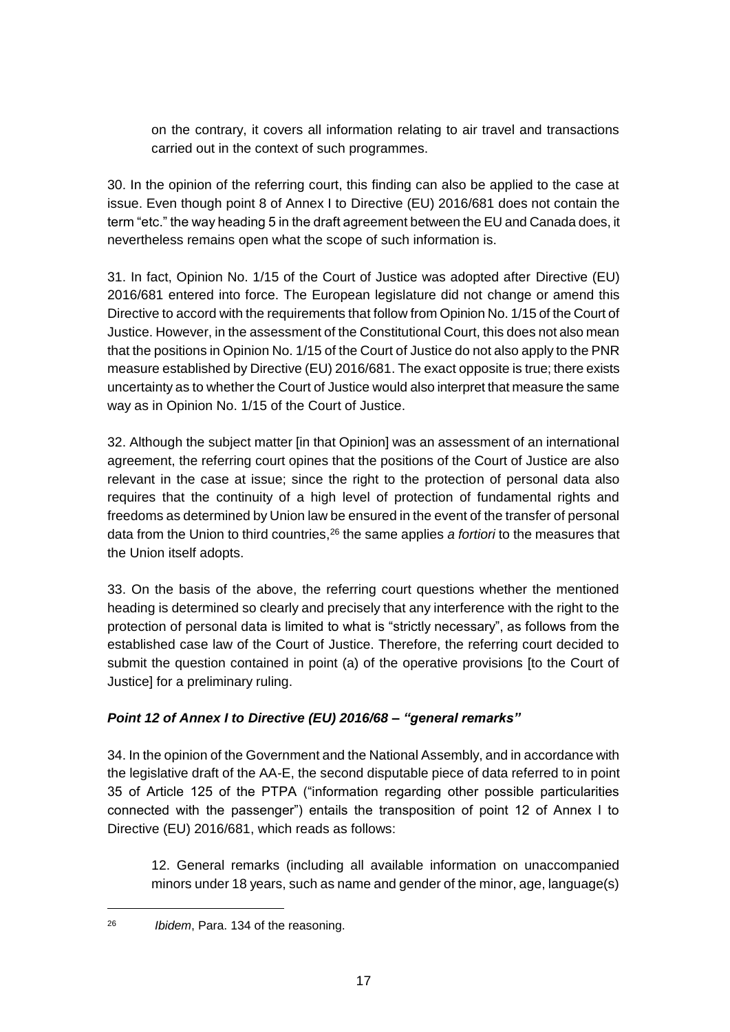on the contrary, it covers all information relating to air travel and transactions carried out in the context of such programmes.

30. In the opinion of the referring court, this finding can also be applied to the case at issue. Even though point 8 of Annex I to Directive (EU) 2016/681 does not contain the term "etc." the way heading 5 in the draft agreement between the EU and Canada does, it nevertheless remains open what the scope of such information is.

31. In fact, Opinion No. 1/15 of the Court of Justice was adopted after Directive (EU) 2016/681 entered into force. The European legislature did not change or amend this Directive to accord with the requirements that follow from Opinion No. 1/15 of the Court of Justice. However, in the assessment of the Constitutional Court, this does not also mean that the positions in Opinion No. 1/15 of the Court of Justice do not also apply to the PNR measure established by Directive (EU) 2016/681. The exact opposite is true; there exists uncertainty as to whether the Court of Justice would also interpret that measure the same way as in Opinion No. 1/15 of the Court of Justice.

32. Although the subject matter [in that Opinion] was an assessment of an international agreement, the referring court opines that the positions of the Court of Justice are also relevant in the case at issue; since the right to the protection of personal data also requires that the continuity of a high level of protection of fundamental rights and freedoms as determined by Union law be ensured in the event of the transfer of personal data from the Union to third countries,<sup>26</sup> the same applies *a fortiori* to the measures that the Union itself adopts.

33. On the basis of the above, the referring court questions whether the mentioned heading is determined so clearly and precisely that any interference with the right to the protection of personal data is limited to what is "strictly necessary", as follows from the established case law of the Court of Justice. Therefore, the referring court decided to submit the question contained in point (a) of the operative provisions [to the Court of Justice] for a preliminary ruling.

# *Point 12 of Annex I to Directive (EU) 2016/68 – "general remarks"*

34. In the opinion of the Government and the National Assembly, and in accordance with the legislative draft of the AA-E, the second disputable piece of data referred to in point 35 of Article 125 of the PTPA ("information regarding other possible particularities connected with the passenger") entails the transposition of point 12 of Annex I to Directive (EU) 2016/681, which reads as follows:

12. General remarks (including all available information on unaccompanied minors under 18 years, such as name and gender of the minor, age, language(s)

<sup>26</sup> *Ibidem*, Para. 134 of the reasoning.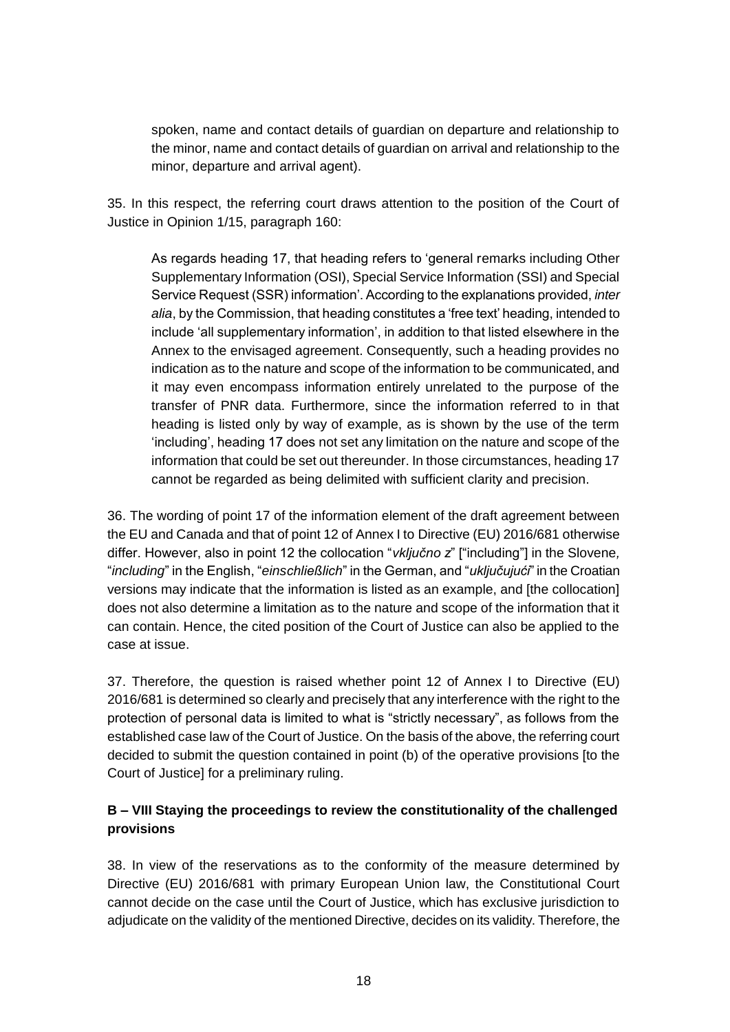spoken, name and contact details of guardian on departure and relationship to the minor, name and contact details of guardian on arrival and relationship to the minor, departure and arrival agent).

35. In this respect, the referring court draws attention to the position of the Court of Justice in Opinion 1/15, paragraph 160:

As regards heading 17, that heading refers to 'general remarks including Other Supplementary Information (OSI), Special Service Information (SSI) and Special Service Request (SSR) information'. According to the explanations provided, *inter alia*, by the Commission, that heading constitutes a 'free text' heading, intended to include 'all supplementary information', in addition to that listed elsewhere in the Annex to the envisaged agreement. Consequently, such a heading provides no indication as to the nature and scope of the information to be communicated, and it may even encompass information entirely unrelated to the purpose of the transfer of PNR data. Furthermore, since the information referred to in that heading is listed only by way of example, as is shown by the use of the term 'including', heading 17 does not set any limitation on the nature and scope of the information that could be set out thereunder. In those circumstances, heading 17 cannot be regarded as being delimited with sufficient clarity and precision.

36. The wording of point 17 of the information element of the draft agreement between the EU and Canada and that of point 12 of Annex I to Directive (EU) 2016/681 otherwise differ. However, also in point 12 the collocation "*vključno z*" ["including"] in the Slovene*,* "*including*" in the English, "*einschließlich*" in the German, and "*uključujući*" in the Croatian versions may indicate that the information is listed as an example, and [the collocation] does not also determine a limitation as to the nature and scope of the information that it can contain. Hence, the cited position of the Court of Justice can also be applied to the case at issue.

37. Therefore, the question is raised whether point 12 of Annex I to Directive (EU) 2016/681 is determined so clearly and precisely that any interference with the right to the protection of personal data is limited to what is "strictly necessary", as follows from the established case law of the Court of Justice. On the basis of the above, the referring court decided to submit the question contained in point (b) of the operative provisions [to the Court of Justice] for a preliminary ruling.

# **B – VIII Staying the proceedings to review the constitutionality of the challenged provisions**

38. In view of the reservations as to the conformity of the measure determined by Directive (EU) 2016/681 with primary European Union law, the Constitutional Court cannot decide on the case until the Court of Justice, which has exclusive jurisdiction to adjudicate on the validity of the mentioned Directive, decides on its validity. Therefore, the